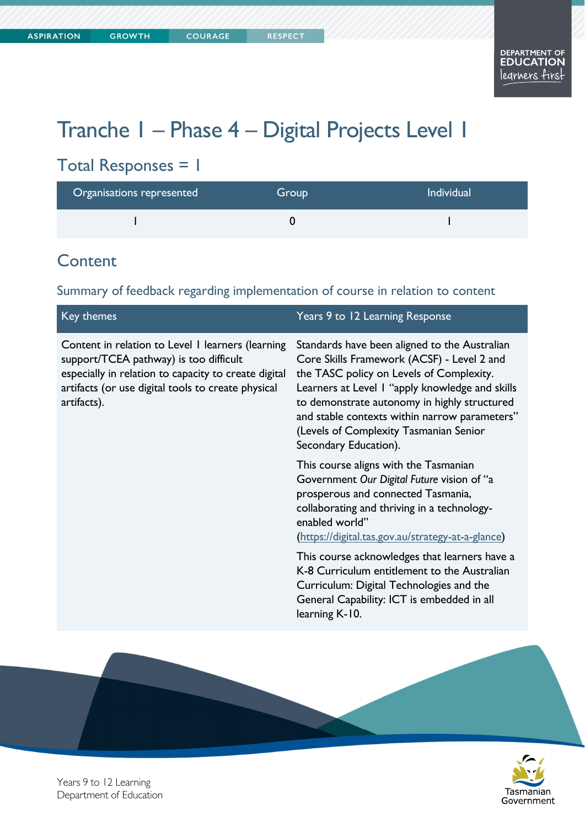# Tranche 1 – Phase 4 – Digital Projects Level 1

## Total Responses = 1

| Organisations represented | Group | <b>Individual</b> |
|---------------------------|-------|-------------------|
|                           |       |                   |

#### **Content**

Summary of feedback regarding implementation of course in relation to content

| Years 9 to 12 Learning Response                                                                                                                                                                                                                                                                                                                                |
|----------------------------------------------------------------------------------------------------------------------------------------------------------------------------------------------------------------------------------------------------------------------------------------------------------------------------------------------------------------|
| Standards have been aligned to the Australian<br>Core Skills Framework (ACSF) - Level 2 and<br>the TASC policy on Levels of Complexity.<br>Learners at Level I "apply knowledge and skills<br>to demonstrate autonomy in highly structured<br>and stable contexts within narrow parameters"<br>(Levels of Complexity Tasmanian Senior<br>Secondary Education). |
| This course aligns with the Tasmanian<br>Government Our Digital Future vision of "a<br>prosperous and connected Tasmania,<br>collaborating and thriving in a technology-<br>enabled world"<br>(https://digital.tas.gov.au/strategy-at-a-glance)                                                                                                                |
| This course acknowledges that learners have a<br>K-8 Curriculum entitlement to the Australian<br>Curriculum: Digital Technologies and the<br>General Capability: ICT is embedded in all<br>learning K-10.                                                                                                                                                      |
|                                                                                                                                                                                                                                                                                                                                                                |



Years 9 to 12 Learning Department of Education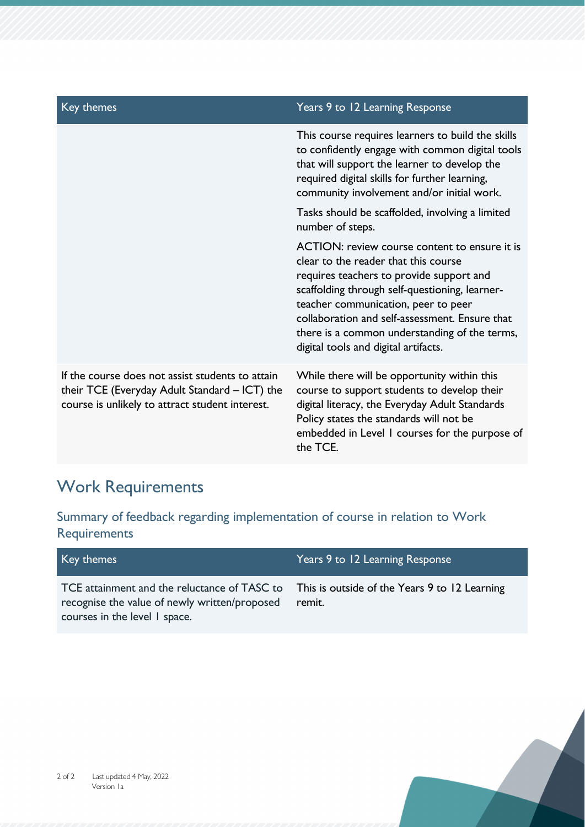| Key themes                                                                                                                                           | Years 9 to 12 Learning Response                                                                                                                                                                                                                                                                                                                                       |
|------------------------------------------------------------------------------------------------------------------------------------------------------|-----------------------------------------------------------------------------------------------------------------------------------------------------------------------------------------------------------------------------------------------------------------------------------------------------------------------------------------------------------------------|
|                                                                                                                                                      | This course requires learners to build the skills<br>to confidently engage with common digital tools<br>that will support the learner to develop the<br>required digital skills for further learning,<br>community involvement and/or initial work.                                                                                                                   |
|                                                                                                                                                      | Tasks should be scaffolded, involving a limited<br>number of steps.                                                                                                                                                                                                                                                                                                   |
|                                                                                                                                                      | ACTION: review course content to ensure it is<br>clear to the reader that this course<br>requires teachers to provide support and<br>scaffolding through self-questioning, learner-<br>teacher communication, peer to peer<br>collaboration and self-assessment. Ensure that<br>there is a common understanding of the terms,<br>digital tools and digital artifacts. |
| If the course does not assist students to attain<br>their TCE (Everyday Adult Standard – ICT) the<br>course is unlikely to attract student interest. | While there will be opportunity within this<br>course to support students to develop their<br>digital literacy, the Everyday Adult Standards<br>Policy states the standards will not be<br>embedded in Level I courses for the purpose of<br>the TCE.                                                                                                                 |

# Work Requirements

Summary of feedback regarding implementation of course in relation to Work **Requirements** 

| Key themes                                                                                                                     | Years 9 to 12 Learning Response                         |
|--------------------------------------------------------------------------------------------------------------------------------|---------------------------------------------------------|
| TCE attainment and the reluctance of TASC to<br>recognise the value of newly written/proposed<br>courses in the level I space. | This is outside of the Years 9 to 12 Learning<br>remit. |